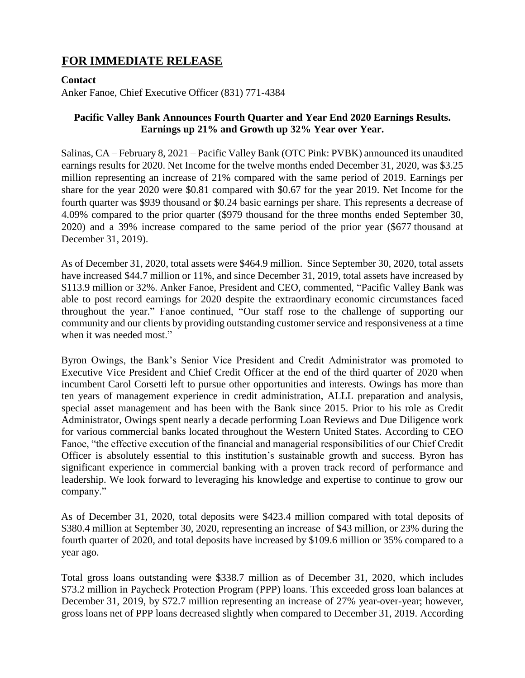# **FOR IMMEDIATE RELEASE**

## **Contact**

Anker Fanoe, Chief Executive Officer (831) 771-4384

# **Pacific Valley Bank Announces Fourth Quarter and Year End 2020 Earnings Results. Earnings up 21% and Growth up 32% Year over Year.**

Salinas, CA – February 8, 2021 – Pacific Valley Bank (OTC Pink: PVBK) announced its unaudited earnings results for 2020. Net Income for the twelve months ended December 31, 2020, was \$3.25 million representing an increase of 21% compared with the same period of 2019. Earnings per share for the year 2020 were \$0.81 compared with \$0.67 for the year 2019. Net Income for the fourth quarter was \$939 thousand or \$0.24 basic earnings per share. This represents a decrease of 4.09% compared to the prior quarter (\$979 thousand for the three months ended September 30, 2020) and a 39% increase compared to the same period of the prior year (\$677 thousand at December 31, 2019).

As of December 31, 2020, total assets were \$464.9 million. Since September 30, 2020, total assets have increased \$44.7 million or 11%, and since December 31, 2019, total assets have increased by \$113.9 million or 32%. Anker Fanoe, President and CEO, commented, "Pacific Valley Bank was able to post record earnings for 2020 despite the extraordinary economic circumstances faced throughout the year." Fanoe continued, "Our staff rose to the challenge of supporting our community and our clients by providing outstanding customer service and responsiveness at a time when it was needed most."

Byron Owings, the Bank's Senior Vice President and Credit Administrator was promoted to Executive Vice President and Chief Credit Officer at the end of the third quarter of 2020 when incumbent Carol Corsetti left to pursue other opportunities and interests. Owings has more than ten years of management experience in credit administration, ALLL preparation and analysis, special asset management and has been with the Bank since 2015. Prior to his role as Credit Administrator, Owings spent nearly a decade performing Loan Reviews and Due Diligence work for various commercial banks located throughout the Western United States. According to CEO Fanoe, "the effective execution of the financial and managerial responsibilities of our Chief Credit Officer is absolutely essential to this institution's sustainable growth and success. Byron has significant experience in commercial banking with a proven track record of performance and leadership. We look forward to leveraging his knowledge and expertise to continue to grow our company."

As of December 31, 2020, total deposits were \$423.4 million compared with total deposits of \$380.4 million at September 30, 2020, representing an increase of \$43 million, or 23% during the fourth quarter of 2020, and total deposits have increased by \$109.6 million or 35% compared to a year ago.

Total gross loans outstanding were \$338.7 million as of December 31, 2020, which includes \$73.2 million in Paycheck Protection Program (PPP) loans. This exceeded gross loan balances at December 31, 2019, by \$72.7 million representing an increase of 27% year-over-year; however, gross loans net of PPP loans decreased slightly when compared to December 31, 2019. According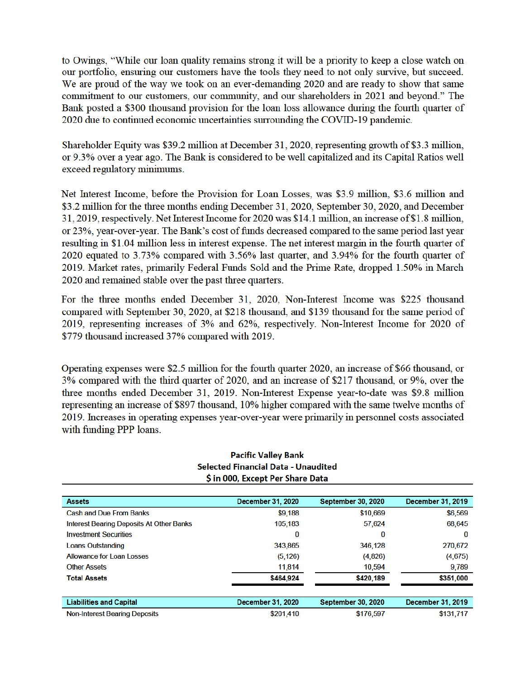to Owings, "While our loan quality remains strong it will be a priority to keep a close watch on our portfolio, ensuring our customers have the tools they need to not only survive, but succeed. We are proud of the way we took on an ever-demanding 2020 and are ready to show that same commitment to our customers, our community, and our shareholders in 2021 and beyond." The Bank posted a \$300 thousand provision for the loan loss allowance during the fourth quarter of 2020 due to continued economic uncertainties surrounding the COVID-19 pandemic.

Shareholder Equity was \$39.2 million at December 31, 2020, representing growth of \$3.3 million, or 9.3% over a year ago. The Bank is considered to be well capitalized and its Capital Ratios well exceed regulatory minimums.

Net Interest Income, before the Provision for Loan Losses, was \$3.9 million, \$3.6 million and \$3.2 million for the three months ending December 31, 2020, September 30, 2020, and December 31, 2019, respectively. Net Interest Income for 2020 was \$14.1 million, an increase of \$1.8 million, or 23%, year-over-year. The Bank's cost of funds decreased compared to the same period last year resulting in \$1.04 million less in interest expense. The net interest margin in the fourth quarter of 2020 equated to 3.73% compared with 3.56% last quarter, and 3.94% for the fourth quarter of 2019. Market rates, primarily Federal Funds Sold and the Prime Rate, dropped 1.50% in March 2020 and remained stable over the past three quarters.

For the three months ended December 31, 2020, Non-Interest Income was \$225 thousand compared with September 30, 2020, at \$218 thousand, and \$139 thousand for the same period of 2019, representing increases of 3% and 62%, respectively. Non-Interest Income for 2020 of \$779 thousand increased 37% compared with 2019.

Operating expenses were \$2.5 million for the fourth quarter 2020, an increase of \$66 thousand, or 3% compared with the third quarter of 2020, and an increase of \$217 thousand, or 9%, over the three months ended December 31, 2019. Non-Interest Expense year-to-date was \$9.8 million representing an increase of \$897 thousand, 10% higher compared with the same twelve months of 2019. Increases in operating expenses year-over-year were primarily in personnel costs associated with funding PPP loans.

| <b>Assets</b>                                   | <b>December 31, 2020</b> | <b>September 30, 2020</b> | December 31, 2019 |
|-------------------------------------------------|--------------------------|---------------------------|-------------------|
| <b>Cash and Due From Banks</b>                  | \$9,188                  | \$10,669                  | \$6,569           |
| <b>Interest Bearing Deposits At Other Banks</b> | 105,183                  | 57,624                    | 68,645            |
| <b>Investment Securities</b>                    | 0                        | 0                         | 0                 |
| <b>Loans Outstanding</b>                        | 343,865                  | 346,128                   | 270,672           |
| <b>Allowance for Loan Losses</b>                | (5, 126)                 | (4,826)                   | (4,675)           |
| <b>Other Assets</b>                             | 11,814                   | 10,594                    | 9,789             |
| <b>Total Assets</b>                             | \$464,924                | \$420,189                 | \$351,000         |
|                                                 |                          |                           |                   |
| <b>Liabilities and Capital</b>                  | <b>December 31, 2020</b> | <b>September 30, 2020</b> | December 31, 2019 |
| <b>Non-Interest Bearing Deposits</b>            | \$201 410                | \$176,597                 | \$131 717         |

#### **Pacific Valley Bank** Selected Financial Data - Unaudited \$ in 000, Except Per Share Data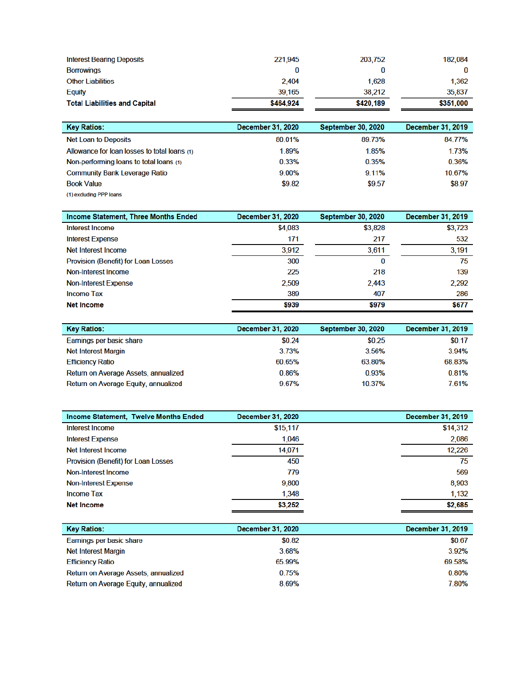| <b>Interest Bearing Deposits</b>     | 221.945   | 203.752   | 182,084   |
|--------------------------------------|-----------|-----------|-----------|
| <b>Borrowings</b>                    |           |           |           |
| <b>Other Liabilities</b>             | 2,404     | 1,628     | 1,362     |
| <b>Equity</b>                        | 39,165    | 38,212    | 35,837    |
| <b>Total Liabilities and Capital</b> | \$464.924 | \$420,189 | \$351,000 |

| <b>Key Ratios:</b>                           | December 31, 2020 | <b>September 30, 2020</b> | December 31, 2019 |
|----------------------------------------------|-------------------|---------------------------|-------------------|
| <b>Net Loan to Deposits</b>                  | 80.01%            | 89.73%                    | 84.77%            |
| Allowance for loan losses to total loans (1) | 1.89%             | 1.85%                     | 1.73%             |
| Non-performing loans to total loans (1)      | 0.33%             | 0.35%                     | 0.36%             |
| <b>Community Bank Leverage Ratio</b>         | $9.00\%$          | 9.11%                     | 10.67%            |
| <b>Book Value</b>                            | \$9.82            | \$9.57                    | \$8.97            |
| (1) excluding PPP loans                      |                   |                           |                   |

| Income Statement, Three Months Ended       | <b>December 31, 2020</b> | <b>September 30, 2020</b> | December 31, 2019 |
|--------------------------------------------|--------------------------|---------------------------|-------------------|
| Interest Income                            | \$4,083                  | \$3,828                   | \$3,723           |
| <b>Interest Expense</b>                    | 171                      | 217                       | 532               |
| Net Interest Income                        | 3,912                    | 3,611                     | 3,191             |
| <b>Provision (Benefit) for Loan Losses</b> | 300                      | 0                         | 75                |
| Non-Interest Income                        | 225                      | 218                       | 139               |
| Non-Interest Expense                       | 2,509                    | 2,443                     | 2,292             |
| <b>Income Tax</b>                          | 389                      | 407                       | 286               |
| <b>Net Income</b>                          | \$939                    | \$979                     | \$677             |

| <b>Key Ratios:</b>                   | <b>December 31, 2020</b> | <b>September 30, 2020</b> | December 31, 2019 |
|--------------------------------------|--------------------------|---------------------------|-------------------|
| Earnings per basic share             | \$0.24                   | \$0.25                    | \$0.17            |
| <b>Net Interest Margin</b>           | 3.73%                    | 3.56%                     | 3.94%             |
| <b>Efficiency Ratio</b>              | 60.65%                   | 63.80%                    | 68.83%            |
| Return on Average Assets, annualized | 0.86%                    | 0.93%                     | 0.81%             |
| Return on Average Equity, annualized | 967%                     | 10.37%                    | 7.61%             |

| Income Statement, Twelve Months Ended      | <b>December 31, 2020</b> | December 31, 2019 |
|--------------------------------------------|--------------------------|-------------------|
| Interest Income                            | \$15,117                 | \$14,312          |
| <b>Interest Expense</b>                    | 1,046                    | 2,086             |
| Net Interest Income                        | 14,071                   | 12,226            |
| <b>Provision (Benefit) for Loan Losses</b> | 450                      | 75                |
| Non-Interest Income                        | 779                      | 569               |
| <b>Non-Interest Expense</b>                | 9,800                    | 8,903             |
| Income Tax                                 | 1,348                    | 1,132             |
| <b>Net Income</b>                          | \$3,252                  | \$2,685           |

| <b>Key Ratios:</b>                   | <b>December 31, 2020</b> | December 31, 2019 |
|--------------------------------------|--------------------------|-------------------|
| Earnings per basic share             | \$0.82                   | \$0.67            |
| <b>Net Interest Margin</b>           | 3.68%                    | 3.92%             |
| <b>Efficiency Ratio</b>              | 65.99%                   | 69.58%            |
| Return on Average Assets, annualized | 0.75%                    | 0.80%             |
| Return on Average Equity, annualized | 8.69%                    | 7.80%             |